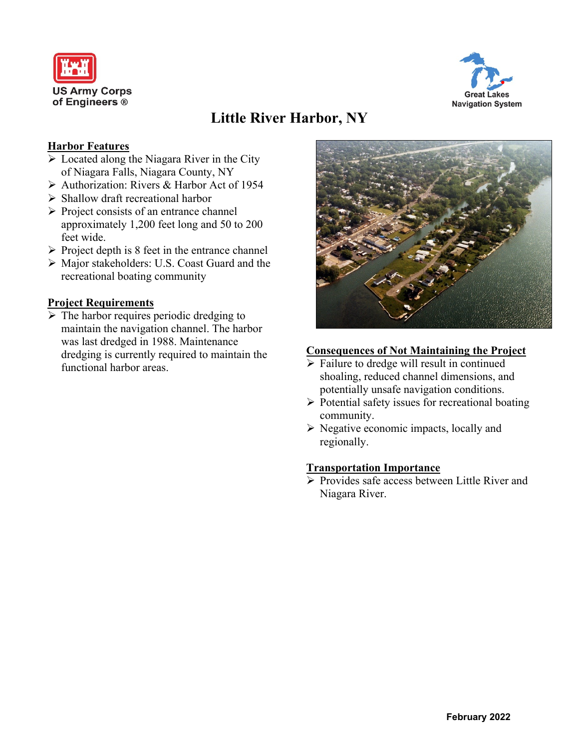



# **Little River Harbor, NY**

# **Harbor Features**

- ➢ Located along the Niagara River in the City of Niagara Falls, Niagara County, NY
- ➢ Authorization: Rivers & Harbor Act of 1954
- ➢ Shallow draft recreational harbor
- ➢ Project consists of an entrance channel approximately 1,200 feet long and 50 to 200 feet wide.
- $\triangleright$  Project depth is 8 feet in the entrance channel
- ➢ Major stakeholders: U.S. Coast Guard and the recreational boating community

# **Project Requirements**

 $\triangleright$  The harbor requires periodic dredging to maintain the navigation channel. The harbor was last dredged in 1988. Maintenance dredging is currently required to maintain the functional harbor areas.



#### **Consequences of Not Maintaining the Project**

- $\triangleright$  Failure to dredge will result in continued shoaling, reduced channel dimensions, and potentially unsafe navigation conditions.
- ➢ Potential safety issues for recreational boating community.
- ➢ Negative economic impacts, locally and regionally.

### **Transportation Importance**

➢ Provides safe access between Little River and Niagara River.